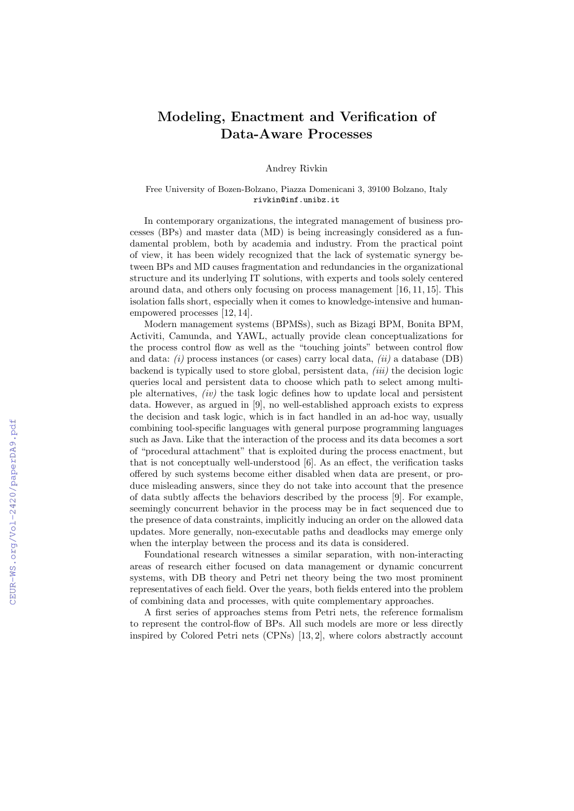## Modeling, Enactment and Verification of Data-Aware Processes

Andrey Rivkin

## Free University of Bozen-Bolzano, Piazza Domenicani 3, 39100 Bolzano, Italy rivkin@inf.unibz.it

In contemporary organizations, the integrated management of business processes (BPs) and master data (MD) is being increasingly considered as a fundamental problem, both by academia and industry. From the practical point of view, it has been widely recognized that the lack of systematic synergy between BPs and MD causes fragmentation and redundancies in the organizational structure and its underlying IT solutions, with experts and tools solely centered around data, and others only focusing on process management [16, 11, 15]. This isolation falls short, especially when it comes to knowledge-intensive and humanempowered processes [12, 14].

Modern management systems (BPMSs), such as Bizagi BPM, Bonita BPM, Activiti, Camunda, and YAWL, actually provide clean conceptualizations for the process control flow as well as the "touching joints" between control flow and data:  $(i)$  process instances (or cases) carry local data,  $(ii)$  a database (DB) backend is typically used to store global, persistent data,  $(iii)$  the decision logic queries local and persistent data to choose which path to select among multiple alternatives, (iv) the task logic defines how to update local and persistent data. However, as argued in [9], no well-established approach exists to express the decision and task logic, which is in fact handled in an ad-hoc way, usually combining tool-specific languages with general purpose programming languages such as Java. Like that the interaction of the process and its data becomes a sort of "procedural attachment" that is exploited during the process enactment, but that is not conceptually well-understood [6]. As an effect, the verification tasks offered by such systems become either disabled when data are present, or produce misleading answers, since they do not take into account that the presence of data subtly affects the behaviors described by the process [9]. For example, seemingly concurrent behavior in the process may be in fact sequenced due to the presence of data constraints, implicitly inducing an order on the allowed data updates. More generally, non-executable paths and deadlocks may emerge only when the interplay between the process and its data is considered.

Foundational research witnesses a similar separation, with non-interacting areas of research either focused on data management or dynamic concurrent systems, with DB theory and Petri net theory being the two most prominent representatives of each field. Over the years, both fields entered into the problem of combining data and processes, with quite complementary approaches.

A first series of approaches stems from Petri nets, the reference formalism to represent the control-flow of BPs. All such models are more or less directly inspired by Colored Petri nets (CPNs) [13, 2], where colors abstractly account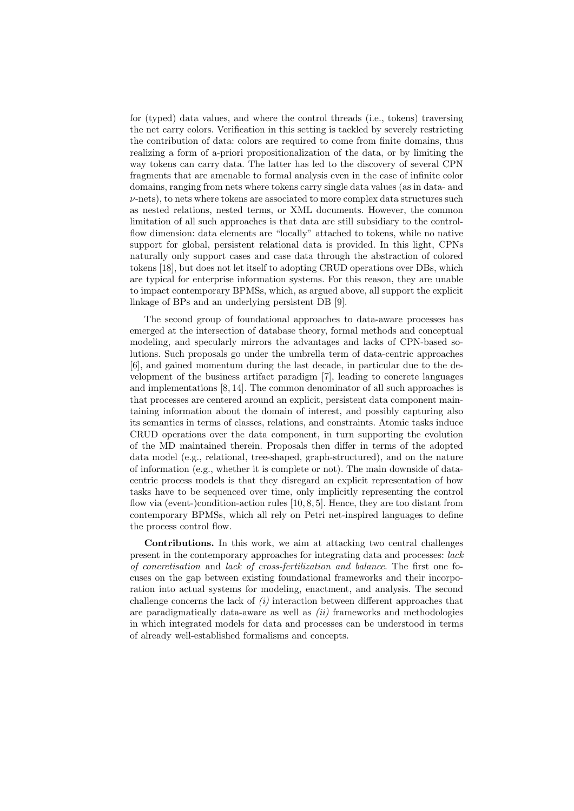for (typed) data values, and where the control threads (i.e., tokens) traversing the net carry colors. Verification in this setting is tackled by severely restricting the contribution of data: colors are required to come from finite domains, thus realizing a form of a-priori propositionalization of the data, or by limiting the way tokens can carry data. The latter has led to the discovery of several CPN fragments that are amenable to formal analysis even in the case of infinite color domains, ranging from nets where tokens carry single data values (as in data- and  $\nu$ -nets), to nets where tokens are associated to more complex data structures such as nested relations, nested terms, or XML documents. However, the common limitation of all such approaches is that data are still subsidiary to the controlflow dimension: data elements are "locally" attached to tokens, while no native support for global, persistent relational data is provided. In this light, CPNs naturally only support cases and case data through the abstraction of colored tokens [18], but does not let itself to adopting CRUD operations over DBs, which are typical for enterprise information systems. For this reason, they are unable to impact contemporary BPMSs, which, as argued above, all support the explicit linkage of BPs and an underlying persistent DB [9].

The second group of foundational approaches to data-aware processes has emerged at the intersection of database theory, formal methods and conceptual modeling, and specularly mirrors the advantages and lacks of CPN-based solutions. Such proposals go under the umbrella term of data-centric approaches [6], and gained momentum during the last decade, in particular due to the development of the business artifact paradigm [7], leading to concrete languages and implementations [8, 14]. The common denominator of all such approaches is that processes are centered around an explicit, persistent data component maintaining information about the domain of interest, and possibly capturing also its semantics in terms of classes, relations, and constraints. Atomic tasks induce CRUD operations over the data component, in turn supporting the evolution of the MD maintained therein. Proposals then differ in terms of the adopted data model (e.g., relational, tree-shaped, graph-structured), and on the nature of information (e.g., whether it is complete or not). The main downside of datacentric process models is that they disregard an explicit representation of how tasks have to be sequenced over time, only implicitly representing the control flow via (event-)condition-action rules [10, 8, 5]. Hence, they are too distant from contemporary BPMSs, which all rely on Petri net-inspired languages to define the process control flow.

Contributions. In this work, we aim at attacking two central challenges present in the contemporary approaches for integrating data and processes: lack of concretisation and lack of cross-fertilization and balance. The first one focuses on the gap between existing foundational frameworks and their incorporation into actual systems for modeling, enactment, and analysis. The second challenge concerns the lack of  $(i)$  interaction between different approaches that are paradigmatically data-aware as well as  $(ii)$  frameworks and methodologies in which integrated models for data and processes can be understood in terms of already well-established formalisms and concepts.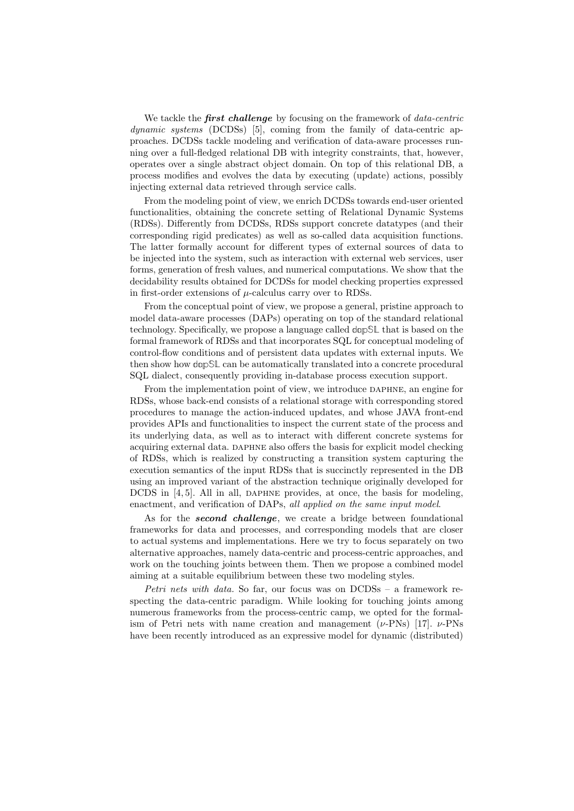We tackle the **first challenge** by focusing on the framework of  $data\text{-}centric$ dynamic systems (DCDSs) [5], coming from the family of data-centric approaches. DCDSs tackle modeling and verification of data-aware processes running over a full-fledged relational DB with integrity constraints, that, however, operates over a single abstract object domain. On top of this relational DB, a process modifies and evolves the data by executing (update) actions, possibly injecting external data retrieved through service calls.

From the modeling point of view, we enrich DCDSs towards end-user oriented functionalities, obtaining the concrete setting of Relational Dynamic Systems (RDSs). Differently from DCDSs, RDSs support concrete datatypes (and their corresponding rigid predicates) as well as so-called data acquisition functions. The latter formally account for different types of external sources of data to be injected into the system, such as interaction with external web services, user forms, generation of fresh values, and numerical computations. We show that the decidability results obtained for DCDSs for model checking properties expressed in first-order extensions of  $\mu$ -calculus carry over to RDSs.

From the conceptual point of view, we propose a general, pristine approach to model data-aware processes (DAPs) operating on top of the standard relational technology. Specifically, we propose a language called **dapSL** that is based on the formal framework of RDSs and that incorporates SQL for conceptual modeling of control-flow conditions and of persistent data updates with external inputs. We then show how **dapSL** can be automatically translated into a concrete procedural SQL dialect, consequently providing in-database process execution support.

From the implementation point of view, we introduce DAPHNE, an engine for RDSs, whose back-end consists of a relational storage with corresponding stored procedures to manage the action-induced updates, and whose JAVA front-end provides APIs and functionalities to inspect the current state of the process and its underlying data, as well as to interact with different concrete systems for acquiring external data. DAPHNE also offers the basis for explicit model checking of RDSs, which is realized by constructing a transition system capturing the execution semantics of the input RDSs that is succinctly represented in the DB using an improved variant of the abstraction technique originally developed for DCDS in  $[4, 5]$ . All in all, DAPHNE provides, at once, the basis for modeling, enactment, and verification of DAPs, all applied on the same input model.

As for the **second challenge**, we create a bridge between foundational frameworks for data and processes, and corresponding models that are closer to actual systems and implementations. Here we try to focus separately on two alternative approaches, namely data-centric and process-centric approaches, and work on the touching joints between them. Then we propose a combined model aiming at a suitable equilibrium between these two modeling styles.

*Petri nets with data.* So far, our focus was on  $DCDSs - a$  framework respecting the data-centric paradigm. While looking for touching joints among numerous frameworks from the process-centric camp, we opted for the formalism of Petri nets with name creation and management  $(\nu$ -PNs) [17].  $\nu$ -PNs have been recently introduced as an expressive model for dynamic (distributed)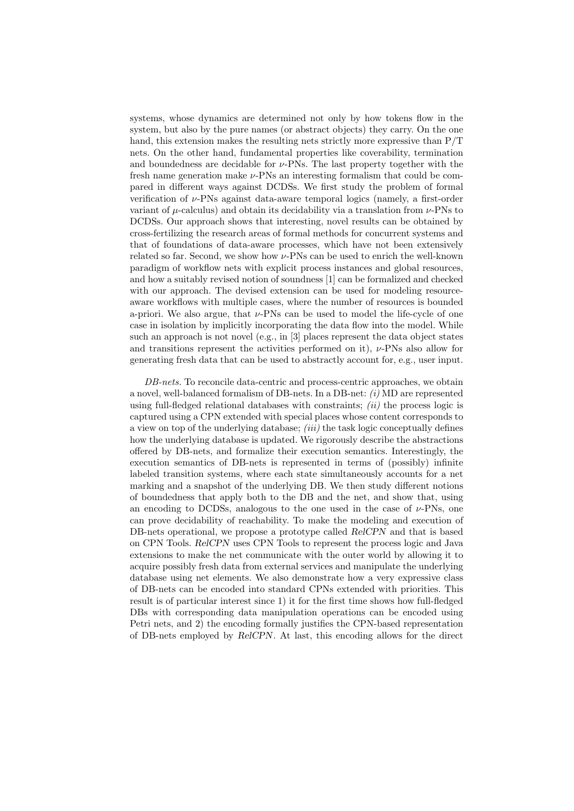systems, whose dynamics are determined not only by how tokens flow in the system, but also by the pure names (or abstract objects) they carry. On the one hand, this extension makes the resulting nets strictly more expressive than P/T nets. On the other hand, fundamental properties like coverability, termination and boundedness are decidable for  $\nu$ -PNs. The last property together with the fresh name generation make  $\nu$ -PNs an interesting formalism that could be compared in different ways against DCDSs. We first study the problem of formal verification of  $\nu$ -PNs against data-aware temporal logics (namely, a first-order variant of  $\mu$ -calculus) and obtain its decidability via a translation from  $\nu$ -PNs to DCDSs. Our approach shows that interesting, novel results can be obtained by cross-fertilizing the research areas of formal methods for concurrent systems and that of foundations of data-aware processes, which have not been extensively related so far. Second, we show how ν-PNs can be used to enrich the well-known paradigm of workflow nets with explicit process instances and global resources, and how a suitably revised notion of soundness [1] can be formalized and checked with our approach. The devised extension can be used for modeling resourceaware workflows with multiple cases, where the number of resources is bounded a-priori. We also argue, that  $\nu$ -PNs can be used to model the life-cycle of one case in isolation by implicitly incorporating the data flow into the model. While such an approach is not novel (e.g., in [3] places represent the data object states and transitions represent the activities performed on it),  $\nu$ -PNs also allow for generating fresh data that can be used to abstractly account for, e.g., user input.

DB-nets. To reconcile data-centric and process-centric approaches, we obtain a novel, well-balanced formalism of DB-nets. In a DB-net: (i) MD are represented using full-fledged relational databases with constraints;  $(ii)$  the process logic is captured using a CPN extended with special places whose content corresponds to a view on top of the underlying database; *(iii)* the task logic conceptually defines how the underlying database is updated. We rigorously describe the abstractions offered by DB-nets, and formalize their execution semantics. Interestingly, the execution semantics of DB-nets is represented in terms of (possibly) infinite labeled transition systems, where each state simultaneously accounts for a net marking and a snapshot of the underlying DB. We then study different notions of boundedness that apply both to the DB and the net, and show that, using an encoding to DCDSs, analogous to the one used in the case of  $\nu$ -PNs, one can prove decidability of reachability. To make the modeling and execution of DB-nets operational, we propose a prototype called RelCPN and that is based on CPN Tools. RelCPN uses CPN Tools to represent the process logic and Java extensions to make the net communicate with the outer world by allowing it to acquire possibly fresh data from external services and manipulate the underlying database using net elements. We also demonstrate how a very expressive class of DB-nets can be encoded into standard CPNs extended with priorities. This result is of particular interest since 1) it for the first time shows how full-fledged DBs with corresponding data manipulation operations can be encoded using Petri nets, and 2) the encoding formally justifies the CPN-based representation of DB-nets employed by RelCPN. At last, this encoding allows for the direct